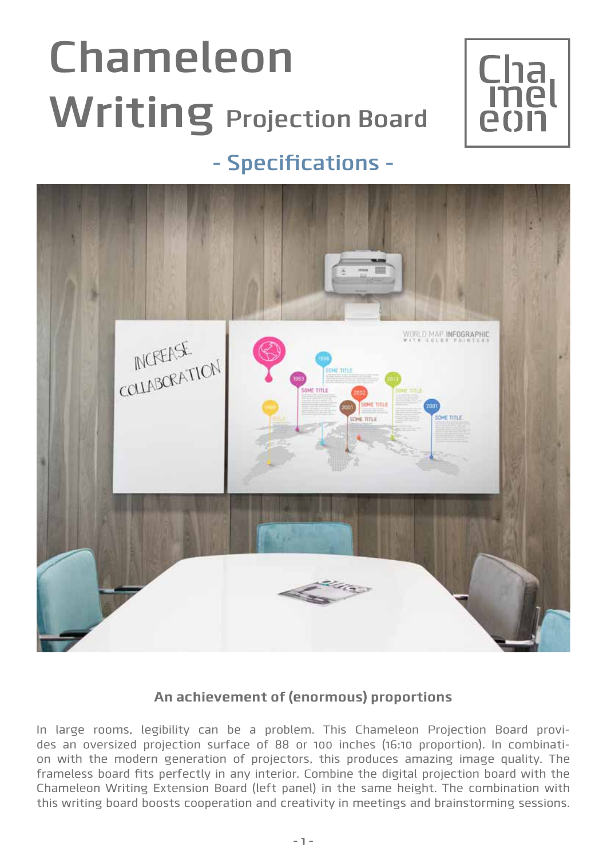# **Chameleon Writing Projection Board**



## **- Specifications -**



#### **An achievement of (enormous) proportions**

In large rooms, legibility can be a problem. This Chameleon Projection Board provides an oversized projection surface of 88 or 100 inches (16:10 proportion). In combination with the modern generation of projectors, this produces amazing image quality. The frameless board fits perfectly in any interior. Combine the digital projection board with the Chameleon Writing Extension Board (left panel) in the same height. The combination with this writing board boosts cooperation and creativity in meetings and brainstorming sessions.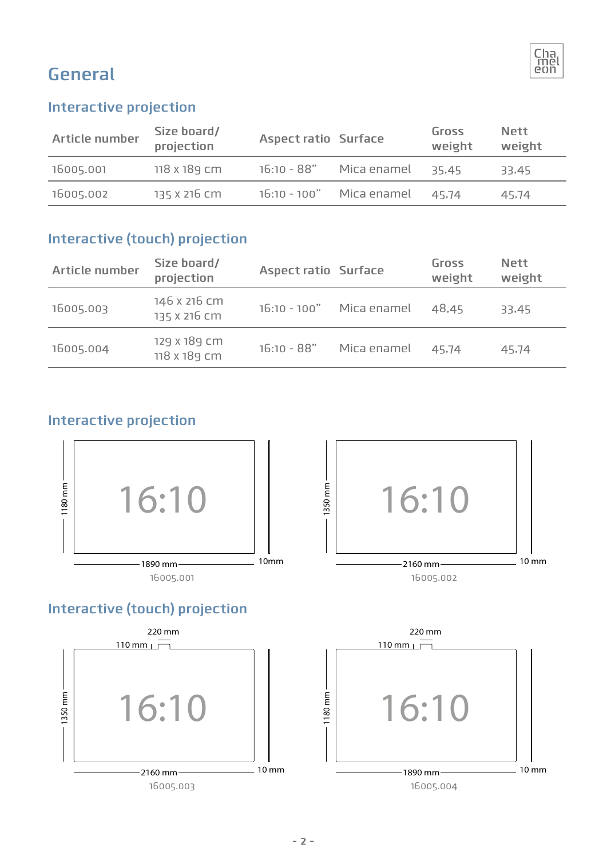

## **General**

#### **Interactive projection**

| Article number | Size board/<br>projection | <b>Aspect ratio Surface</b> |             | Gross<br>weight | <b>Nett</b><br>weight |
|----------------|---------------------------|-----------------------------|-------------|-----------------|-----------------------|
| 16005.001      | 118 x 189 cm              | 16:10 - 88"                 | Mica enamel | 35.45           | 33.45                 |
| 16005.002      | 135 x 216 cm              | 16:10 - 100" Mica enamel    |             | 45.74           | 45.74                 |

#### **Interactive (touch) projection**

| Article number | Size board/<br>projection    | <b>Aspect ratio Surface</b> |                          | Gross<br>weight | <b>Nett</b><br>weight |
|----------------|------------------------------|-----------------------------|--------------------------|-----------------|-----------------------|
| 16005.003      | 146 x 216 cm<br>135 x 216 cm |                             | 16:10 - 100" Mica enamel | 48.45           | 33,45                 |
| 16005.004      | 129 x 189 cm<br>118 x 189 cm | $16:10 - 88"$               | Mica enamel              | 45.74           | 45.74                 |

#### **Interactive projection**